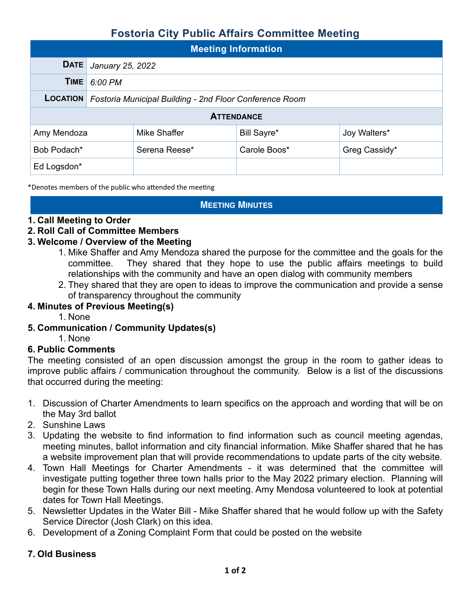# **Fostoria City Public Affairs Committee Meeting**

| <b>Meeting Information</b> |                                                         |               |              |               |  |  |  |
|----------------------------|---------------------------------------------------------|---------------|--------------|---------------|--|--|--|
| <b>DATE</b>                | January 25, 2022                                        |               |              |               |  |  |  |
| TIME                       | 6:00 PM                                                 |               |              |               |  |  |  |
| <b>LOCATION</b>            | Fostoria Municipal Building - 2nd Floor Conference Room |               |              |               |  |  |  |
| <b>ATTENDANCE</b>          |                                                         |               |              |               |  |  |  |
| Amy Mendoza                |                                                         | Mike Shaffer  | Bill Sayre*  | Joy Walters*  |  |  |  |
| Bob Podach*                |                                                         | Serena Reese* | Carole Boos* | Greg Cassidy* |  |  |  |
| Ed Logsdon*                |                                                         |               |              |               |  |  |  |

\*Denotes members of the public who attended the meeting

### **MEETING MINUTES**

### **1. Call Meeting to Order**

### **2. Roll Call of Committee Members**

### **3. Welcome / Overview of the Meeting**

- 1. Mike Shaffer and Amy Mendoza shared the purpose for the committee and the goals for the committee. They shared that they hope to use the public affairs meetings to build relationships with the community and have an open dialog with community members
- 2. They shared that they are open to ideas to improve the communication and provide a sense of transparency throughout the community

### **4. Minutes of Previous Meeting(s)**

- 1. None
- **5. Communication / Community Updates(s)** 
	- 1. None

### **6. Public Comments**

The meeting consisted of an open discussion amongst the group in the room to gather ideas to improve public affairs / communication throughout the community. Below is a list of the discussions that occurred during the meeting:

- 1. Discussion of Charter Amendments to learn specifics on the approach and wording that will be on the May 3rd ballot
- 2. Sunshine Laws
- 3. Updating the website to find information to find information such as council meeting agendas, meeting minutes, ballot information and city financial information. Mike Shaffer shared that he has a website improvement plan that will provide recommendations to update parts of the city website.
- 4. Town Hall Meetings for Charter Amendments it was determined that the committee will investigate putting together three town halls prior to the May 2022 primary election. Planning will begin for these Town Halls during our next meeting. Amy Mendosa volunteered to look at potential dates for Town Hall Meetings.
- 5. Newsletter Updates in the Water Bill Mike Shaffer shared that he would follow up with the Safety Service Director (Josh Clark) on this idea.
- 6. Development of a Zoning Complaint Form that could be posted on the website

### **7. Old Business**